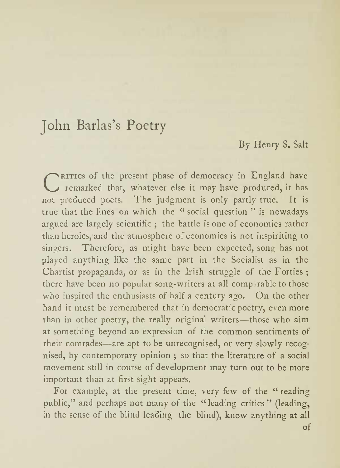#### By Henry S. Salt

C RITICS of the present phase of democracy in England have<br>C remarked that, whatever else it may have produced, it has not produced poets. The judgment is only partly true. It is true that the lines on which the " social question " is nowadays argued are largely scientific ; the battle is one of economics rather than heroics, and the atmosphere of economics is not inspiriting to singers. Therefore, as might have been expected, song has not played anything like the same part in the Socialist as in the Chartist propaganda, or as in the Irish struggle of the Forties ; there have been no popular song-writers at all comparable to those who inspired the enthusiasts of half <sup>a</sup> century ago. On the other hand it must be remembered that in democratic poetry, even more than in other poetry, the really original writers-those who aim at something beyond an expression of the common sentiments of their comrades—are apt to be unrecognised, or very slowly recognised, by contemporary opinion ; so that the literature of a social movement still in course of development may turn out to be more important than at first sight appears.

For example, at the present time, very few of the "reading public," and perhaps not many of the "leading critics" (leading, in the sense of the blind leading the blind), know anything at all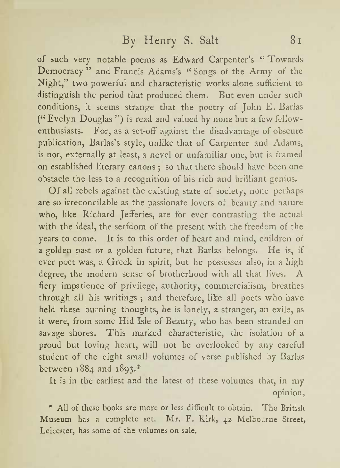of such very notable poems as Edward Carpenter s " Towards Democracy" and Francis Adams's "Songs of the Army of the Night," two powerful and characteristic works alone sufficient to distinguish the period that produced them. But even under such conditions, it seems strange that the poetry of John E. Barlas (" Evelyn Douglas ") is read and valued by none but <sup>a</sup> few fellowenthusiasts. For, as a set-off against the disadvantage of obscure publication, Barlas's style, unlike that of Carpenter and Adams, is not, externally at least, <sup>a</sup> novel or unfamiliar one, but is framed on established literary canons ; so that there should have been one obstacle the less to <sup>a</sup> recognition of his rich and brilliant genius.

Of all rebels against the existing state of society, none perhaps are so irreconcilable as the passionate lovers of beauty and nature who, like Richard Jefferies, are for ever contrasting the actual with the ideal, the serfdom of the present with the freedom of the years to come. It is to this order of heart and mind, children of <sup>a</sup> golden past or <sup>a</sup> golden future, that Barlas belongs. He is, if ever poet was, <sup>a</sup> Greek in spirit, but he possesses also, in <sup>a</sup> high degree, the modern sense of brotherhood with all that lives. A fiery impatience of privilege, authority, commercialism, breathes through all his writings ; and therefore, like all poets who have held these burning thoughts, he is lonely, <sup>a</sup> stranger, an exile, as it were, from some Hid Isle of Beauty, who has been stranded on savage shores. This marked characteristic, the isolation of <sup>a</sup> proud but loving heart, will not be overlooked by any careful student of the eight small volumes of verse published by Barlas between 1884 and 1893.\*

It is in the earliest and the latest of these volumes that, in my opinion,

\* All of these books are more or less difficult to obtain. The British Museum has <sup>a</sup> complete set. Mr. F. Kirk, <sup>42</sup> Melbourne Street, Leicester, has some of the volumes on sale.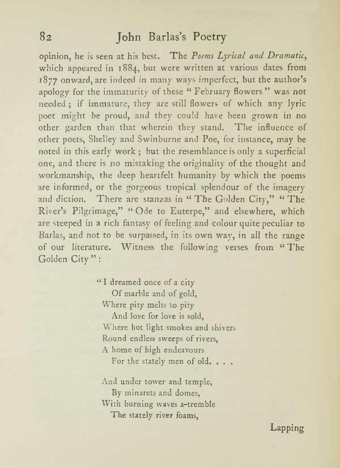opinion, he is seen at his best. The Poems Lyrical and Dramatic, which appeared in 1884, but were written at various dates from 1877 onward, are indeed in many ways imperfect, but the author's apology for the immaturity of these " February flowers " was not needed ; if immature, they are still flowers of which any lyric poet might be proud, and they could have been grown in no other garden than that wherein they stand. The influence of other poets, Shelley and Swinburne and Poe, for instance, may be noted in this early work ; but the resemblance is only a superficial one, and there is no mistaking the originality of the thought and workmanship, the deep heartfelt humanity by which the poems are informed, or the gorgeous tropical splendour of the imagery and diction. There are stanzas in "The Golden City," "The River's Pilgrimage," "Ode to Euterpe," and elsewhere, which are steeped in <sup>a</sup> rich fantasy of feeling and colour quite peculiar to Barlas, and not to be surpassed, in its own way, in all the range of our literature. Witness the following verses from "The Golden City " :

> " <sup>I</sup> dreamed once of <sup>a</sup> city Of marble and of gold, Where pity melts to pity And love for love is sold, Where hot light smokes and shivers Round endless sweeps of rivers, A home of high endeavours For the stately men of old..

And under tower and temple, By minarets and domes, With burning waves a-tremble The stately river foams,

Lapping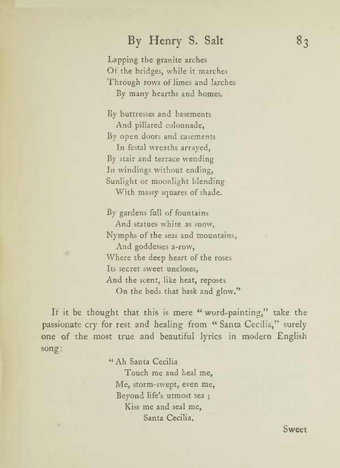## By Henry S. Salt  $8<sub>3</sub>$

Lapping the granite arches Of the bridges, while it marches Through rows of limes and larches By many hearths and homes.

By buttresses and basements And pillared colonnade, By open doors and casements In festal wreaths arrayed, By stair and terrace wending In windings without ending, Sunlight or moonlight blending With massy squares of shade.

By gardens full of fountains And statues white as snow, Nymphs of the seas and mountains, And goddesses a-row, Where the deep heart of the roses Its secret sweet uncloses, And the scent, like heat, reposes On the beds that bask and glow."

If it be thought that this is mere "word-painting," take the passionate cry for rest and healing from " Santa Cecilia," surely one of the most true and beautiful lyrics in modern English song:

#### " Ah Santa Cecilia

Touch me and heal me, Me, storm-swept, even me, Beyond life's utmost sea ; ; Kiss me and seal me, Santa Cecilia.

Sweet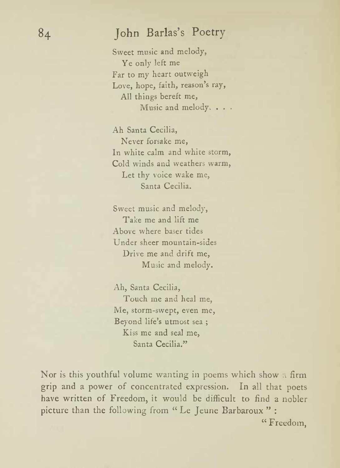Sweet music and melody, Ye only left me Far to my heart outweigh Love, hope, faith, reason's ray, All things bereft me, Music and melody. . . .

Ah Santa Cecilia, Never forsake me, In white calm and white storm, Cold winds and weathers warm, Let thy voice wake me, Santa Cecilia.

Sweet music and melody, Take me and lift me Above where baser tides Under sheer mountain-sides Drive me and drift me, Music and melody.

Ah, Santa Cecilia, Touch me and heal me, Me, storm-swept, even me, Beyond life's utmost sea; Kiss me and seal me, Santa Cecilia."

Nor is this youthful volume wanting in poems which show <sup>a</sup>firm grip and <sup>a</sup> power of concentrated expression. In all that poets have written of Freedom, it would be difficult to find <sup>a</sup> nobler picture than the following from " Le Jeune Barbaroux " :

" Freedom.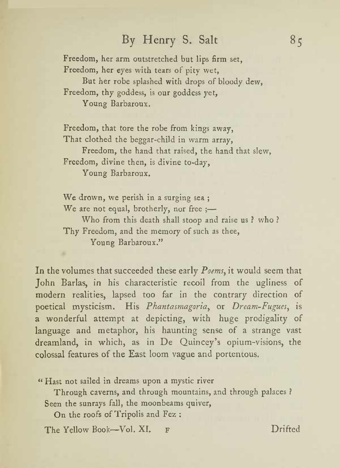### By Henry S. Salt  $85$

Freedom, her arm outstretched but lips firm set, Freedom, her eyes with tears of pity wet, But her robe splashed with drops of bloody dew, Freedom, thy goddess, is our goddess yet, Young Barbaroux.

Freedom, that tore the robe from kings away, That clothed the beggar-child in warm array, Freedom, the hand that raised, the hand that slew, Freedom, divine then, is divine to-day, Young Barbaroux.

We drown, we perish in <sup>a</sup> surging sea ; We are not equal, brotherly, nor free ;-Who from this death shall stoop and raise us ? who ? Thy Freedom, and the memory of such as thee, Young Barbaroux."

In the volumes that succeeded these early  $\it Poems$  it would seem that John Barlas, in his characteristic recoil from the ugliness of modern realities, lapsed too far in the contrary direction of poetical mysticism. His Phantasmagoria, or Dream-Fugues, is <sup>a</sup> wonderful attempt at depicting, with huge prodigality of language and metaphor, his haunting sense of <sup>a</sup> strange vast dreamland, in which, as in De Quincey <sup>s</sup> opium-visions, the colossal features of the East loom vague and portentous.

" Hast not sailed in dreams upon <sup>a</sup> mystic river

Through caverns, and through mountains, and through palaces ? Seen the sunrays fall, the moonbeams quiver,

On the roofs of Tripolis and Fez :

The Yellow Book-Vol. XI. F Drifted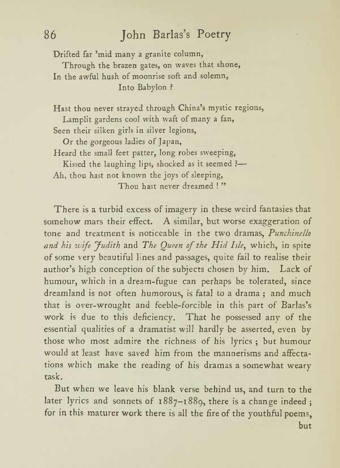Drifted far 'mid many a granite column,

Through the brazen gates, on waves that shone, In the awful hush of moonrise soft and solemn, Into Babylon ?

Hast thou never strayed through China's mystic regions, Lamplit gardens cool with waft of many a fan, Seen their silken girls in silver legions,

Or the gorgeous ladies of japan, Heard the small feet patter, long robes sweeping, Kissed the laughing lips, shocked as it seemed ?-Ah, thou hast not known the joys of sleeping, Thou hast never dreamed ! "

There is <sup>a</sup> turbid excess of imagery in these weird fantasies that somehow mars their effect. A similar, but worse exaggeration of tone and treatment is noticeable in the two dramas, Punchinello and his wife Judith and The Queen of the Hid Isle, which, in spite of some very beautiful lines and passages, quite fail to realise their author's high conception of the subjects chosen by him. Lack of humour, which in <sup>a</sup> dream-fugue can perhaps be tolerated, since dreamland is not often humorous, is fatal to <sup>a</sup> drama ; and much that is over-wrought and feeble-forcible in this part of Barlas's work is due to this deficiency. That he possessed any of the essential qualities of <sup>a</sup> dramatist will hardly be asserted, even by those who most admire the richness of his lyrics ; but humour would at least have saved him from the mannerisms and affecta tions which make the reading of his dramas <sup>a</sup> somewhat weary task.

But when we leave his blank verse behind us, and turn to the later lyrics and sonnets of 1887-1889, there is<sup>a</sup> change indeed ; for in this maturer work there is all the fire of the youthful poems, but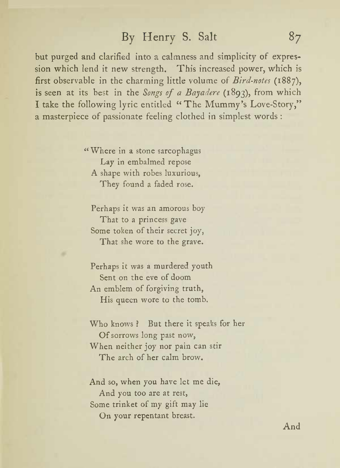### By Henry S. Salt 87

but purged and clarified into <sup>a</sup> calmness and simplicity of expres sion which lend it new strength. This increased power, which is first observable in the charming little volume of Bird-notes (1887), is seen at its best in the Songs of a Bayadere (1893), from which I take the following lyric entitled "The Mummy's Love-Story," <sup>a</sup> masterpiece of passionate feeling clothed in simplest words :

> " Where in <sup>a</sup> stone sarcophagus Lay in embalmed repose A shape with robes luxurious, They found a faded rose.

Perhaps it was an amorous boy That to <sup>a</sup> princess gave Some token of their secret joy, That she wore to the grave.

Perhaps it was a murdered youth Sent on the eve of doom An emblem of forgiving truth, His queen wore to the tomb.

Who knows? But there it speaks for her Of sorrows long past now, When neither joy nor pain can stir The arch of her calm brow.

And so, when you have let me die, And you too are at rest, Some trinket of my gift may lie On your repentant breast.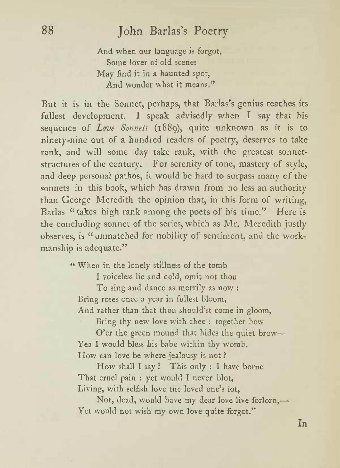And when our language is forgot, Some lover of old scenes May find it in <sup>a</sup> haunted spot, And wonder what it means."

But it is in the Sonnet, perhaps, that Barlas's genius reaches its fullest development. <sup>I</sup> speak advisedly when <sup>I</sup> say that his sequence of Love Sonnets (1889), quite unknown as it is to ninety-nine out of <sup>a</sup> hundred readers of poetry, deserves to take rank, and will some day take rank, with the greatest sonnetstructures of the century. For serenity of tone, mastery of style, and deep personal pathos, it would be hard to surpass many of the sonnets in this book, which has drawn from no less an authority than George Meredith the opinion that, in this form of writing, Barlas " takes high rank among the poets of his time." Here is the concluding sonnet of the series, which as Mr. Meredith justly observes, is "unmatched for nobility of sentiment, and the work manship is adequate."

" When in the lonely stillness of the tomb

<sup>I</sup> voiceless lie and cold, omit not thou

To sing and dance as merrily as now : Bring roses once <sup>a</sup> year in fullest bloom, And rather than that thou should'st come in gloom,

Bring thy new love with thee : together bow

O'er the green mound that hides the quiet brow-Yea <sup>I</sup> would bless his babe within thy womb. How canlove be where jealousy is not ?

How shall <sup>I</sup>say ? This only : <sup>I</sup> have borne That cruel pain : yet would <sup>I</sup> never blot, Living, with selfish love the loved one's lot.

Nor, dead, would have my dear love live forlorn, Yet would not wish my own love quite forgot."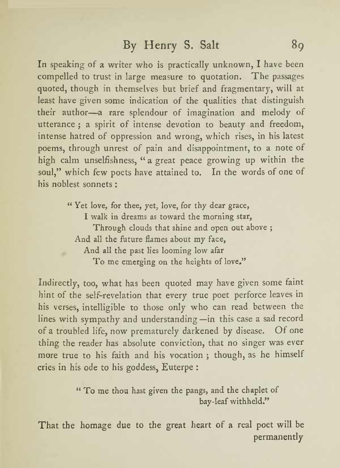In speaking of <sup>a</sup> writer who is practically unknown, <sup>I</sup> have been compelled to trust in large measure to quotation. The passages quoted, though in themselves but brief and fragmentary, will at least have given some indication of the qualities that distinguish their author—a rare splendour of imagination and melody of utterance ; <sup>a</sup> spirit of intense devotion to beauty and freedom, intense hatred of oppression and wrong, which rises, in his latest poems, through unrest of pain and disappointment, to a note of high calm unselfishness, " <sup>a</sup> great peace growing up within the soul," which few poets have attained to. In the words of one of his noblest sonnets :

" Yet love, for thee, yet, love, for thy dear grace, <sup>I</sup> walk in dreams as toward the morning star, Through clouds that shine and open out above ; And all the future flames about my face, And all the past lies looming low afar To me emerging on the heights of love."

Indirectly, too, what has been quoted may have given some faint hint of the self-revelation that every true poet perforce leaves in his verses, intelligible to those only who can read between the lines with sympathy and understanding—in this case a sad record of <sup>a</sup> troubled life, now prematurely darkened by disease. Of one thing the reader has absolute conviction, that no singer was ever more true to his faith and his vocation ; though, as he himself cries in his ode to his goddess, Euterpe :

> " To me thou hast given the pangs, and the chaplet of bay-leaf withheld."

That the homage due to the great heart of <sup>a</sup> real poet will be permanently